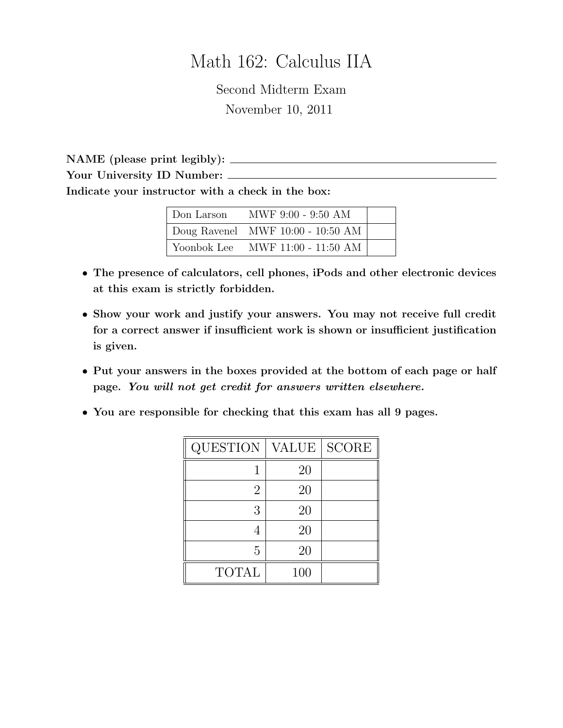# Math 162: Calculus IIA

Second Midterm Exam November 10, 2011

NAME (please print legibly): Your University ID Number: Indicate your instructor with a check in the box:

| Don Larson  | MWF 9:00 - 9:50 AM                  |  |
|-------------|-------------------------------------|--|
|             | Doug Ravenel MWF $10:00 - 10:50$ AM |  |
| Yoonbok Lee | MWF 11:00 - 11:50 AM                |  |

- The presence of calculators, cell phones, iPods and other electronic devices at this exam is strictly forbidden.
- Show your work and justify your answers. You may not receive full credit for a correct answer if insufficient work is shown or insufficient justification is given.
- Put your answers in the boxes provided at the bottom of each page or half page. You will not get credit for answers written elsewhere.
- You are responsible for checking that this exam has all 9 pages.

| <b>QUESTION</b> | <b>VALUE</b> | <b>SCORE</b> |
|-----------------|--------------|--------------|
|                 | 20           |              |
| $\overline{2}$  | 20           |              |
| 3               | 20           |              |
|                 | 20           |              |
| 5               | 20           |              |
| <b>TOTAL</b>    | 100          |              |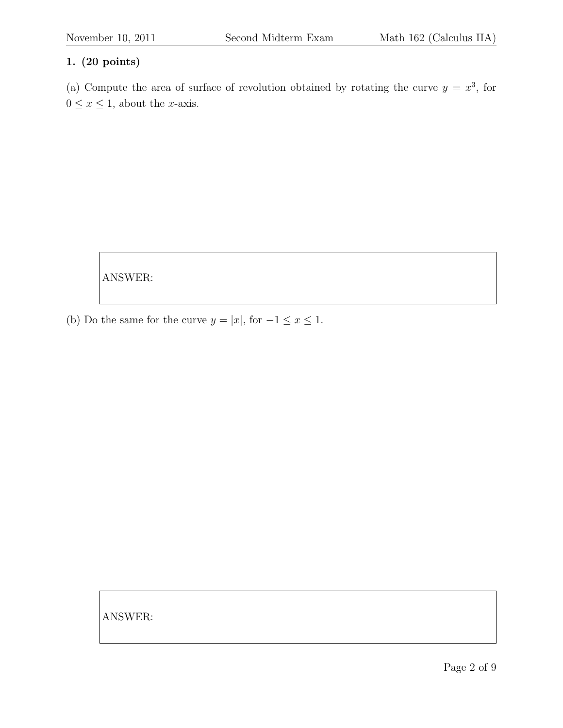(a) Compute the area of surface of revolution obtained by rotating the curve  $y = x^3$ , for  $0 \leq x \leq 1$ , about the *x*-axis.

ANSWER:

(b) Do the same for the curve  $y = |x|$ , for  $-1 \le x \le 1$ .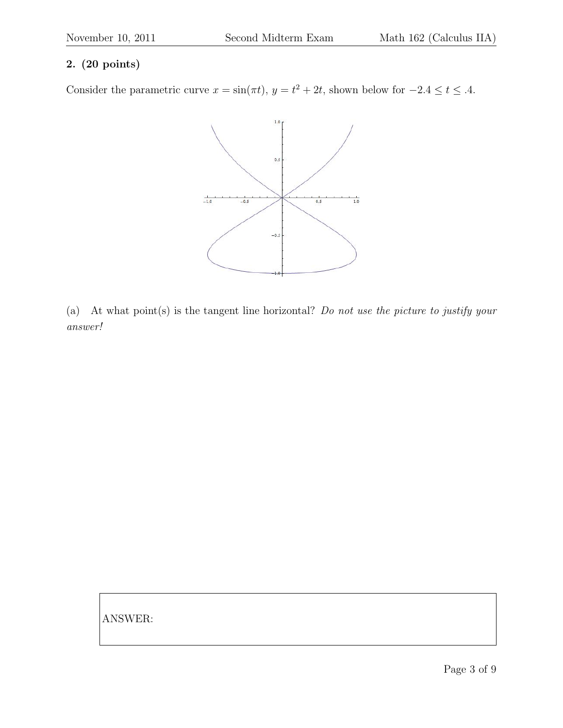Consider the parametric curve  $x = \sin(\pi t)$ ,  $y = t^2 + 2t$ , shown below for  $-2.4 \le t \le .4$ .



(a) At what point(s) is the tangent line horizontal? Do not use the picture to justify your answer!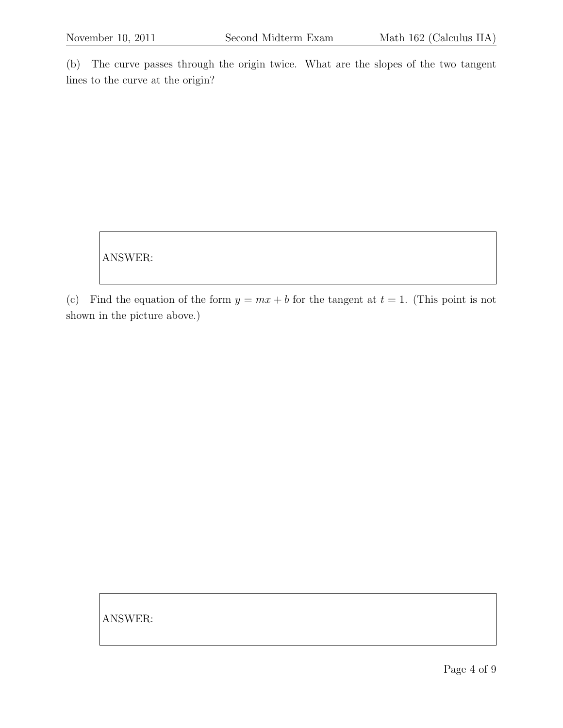(b) The curve passes through the origin twice. What are the slopes of the two tangent lines to the curve at the origin?

ANSWER:

(c) Find the equation of the form  $y = mx + b$  for the tangent at  $t = 1$ . (This point is not shown in the picture above.)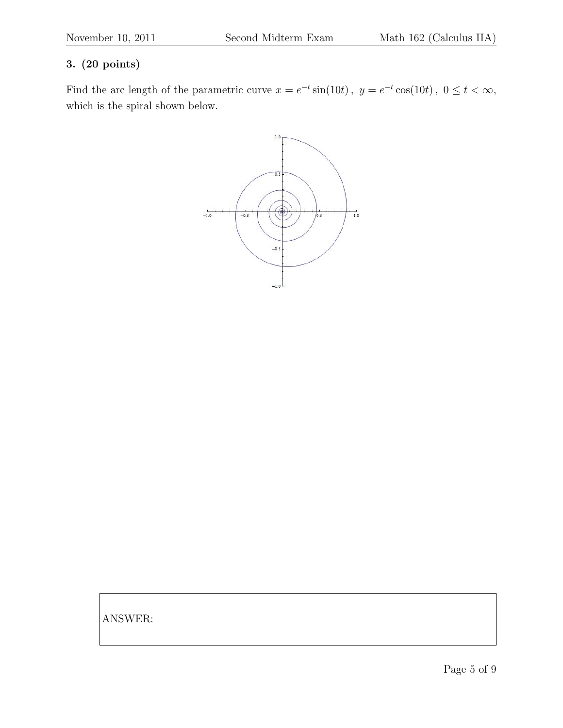Find the arc length of the parametric curve  $x = e^{-t} \sin(10t)$ ,  $y = e^{-t} \cos(10t)$ ,  $0 \le t < \infty$ , which is the spiral shown below.

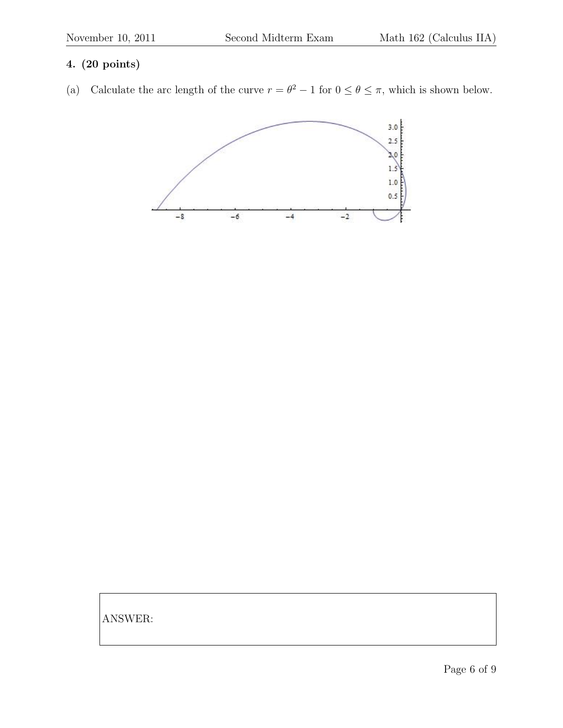(a) Calculate the arc length of the curve  $r = \theta^2 - 1$  for  $0 \le \theta \le \pi$ , which is shown below.

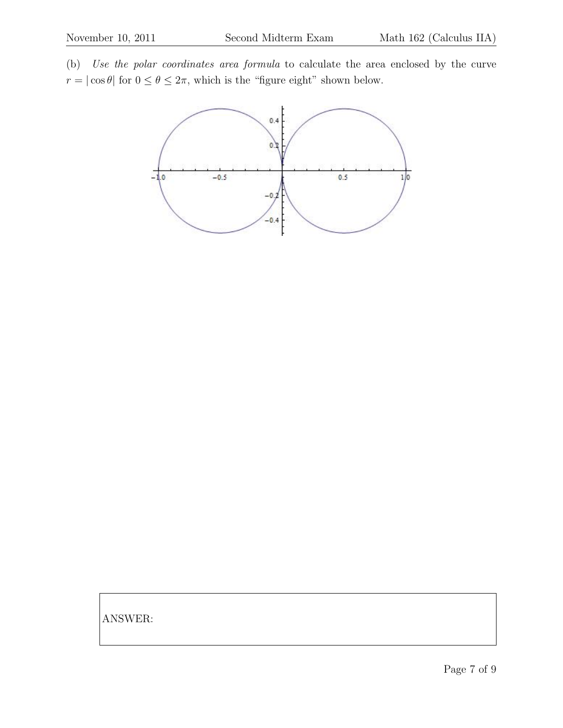(b) Use the polar coordinates area formula to calculate the area enclosed by the curve  $r=|\cos\theta|$  for  $0\leq\theta\leq2\pi,$  which is the "figure eight" shown below.

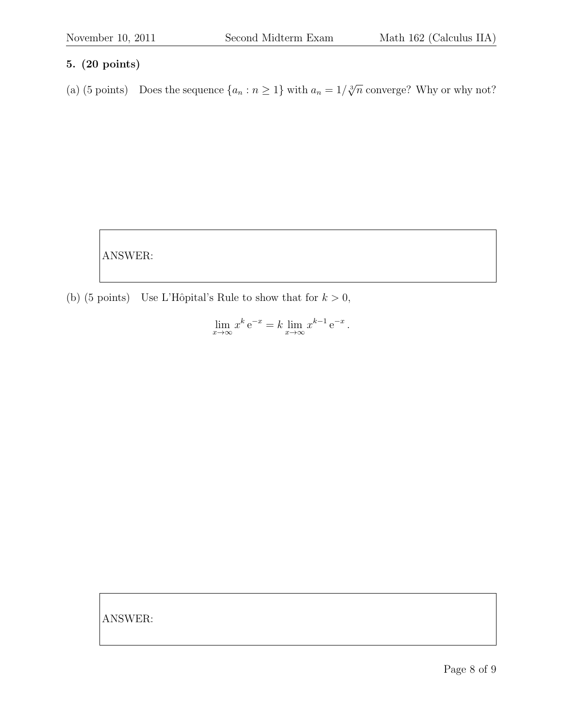(a) (5 points) Does the sequence  $\{a_n : n \geq 1\}$  with  $a_n = 1/\sqrt[3]{n}$  converge? Why or why not?

ANSWER:

(b) (5 points) Use L'Hôpital's Rule to show that for  $k > 0$ ,

 $\lim_{x \to \infty} x^k e^{-x} = k \lim_{x \to \infty} x^{k-1} e^{-x}.$